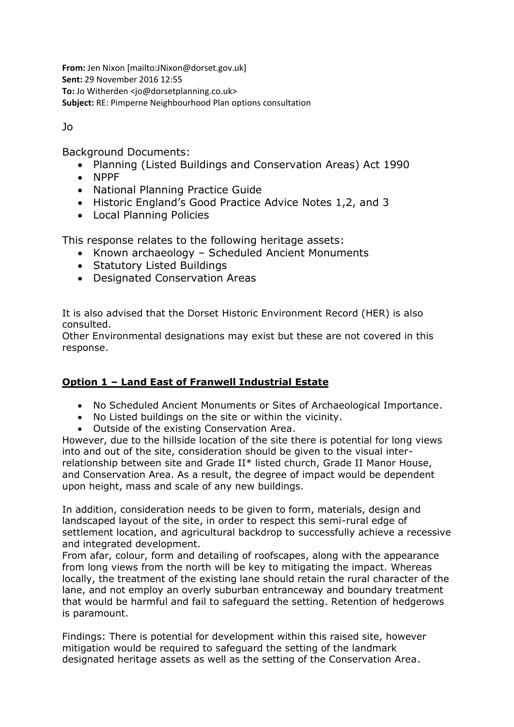**From:** Jen Nixon [mailto:JNixon@dorset.gov.uk] **Sent:** 29 November 2016 12:55 **To:** Jo Witherden <jo@dorsetplanning.co.uk> **Subject:** RE: Pimperne Neighbourhood Plan options consultation

Jo

Background Documents:

- Planning (Listed Buildings and Conservation Areas) Act 1990
- NPPF
- National Planning Practice Guide
- Historic England's Good Practice Advice Notes 1,2, and 3
- Local Planning Policies

This response relates to the following heritage assets:

- Known archaeology Scheduled Ancient Monuments
- Statutory Listed Buildings
- Designated Conservation Areas

It is also advised that the Dorset Historic Environment Record (HER) is also consulted.

Other Environmental designations may exist but these are not covered in this response.

# **Option 1 – Land East of Franwell Industrial Estate**

- No Scheduled Ancient Monuments or Sites of Archaeological Importance.
- No Listed buildings on the site or within the vicinity.
- Outside of the existing Conservation Area.

However, due to the hillside location of the site there is potential for long views into and out of the site, consideration should be given to the visual interrelationship between site and Grade II\* listed church, Grade II Manor House, and Conservation Area. As a result, the degree of impact would be dependent upon height, mass and scale of any new buildings.

In addition, consideration needs to be given to form, materials, design and landscaped layout of the site, in order to respect this semi-rural edge of settlement location, and agricultural backdrop to successfully achieve a recessive and integrated development.

From afar, colour, form and detailing of roofscapes, along with the appearance from long views from the north will be key to mitigating the impact. Whereas locally, the treatment of the existing lane should retain the rural character of the lane, and not employ an overly suburban entranceway and boundary treatment that would be harmful and fail to safeguard the setting. Retention of hedgerows is paramount.

Findings: There is potential for development within this raised site, however mitigation would be required to safeguard the setting of the landmark designated heritage assets as well as the setting of the Conservation Area.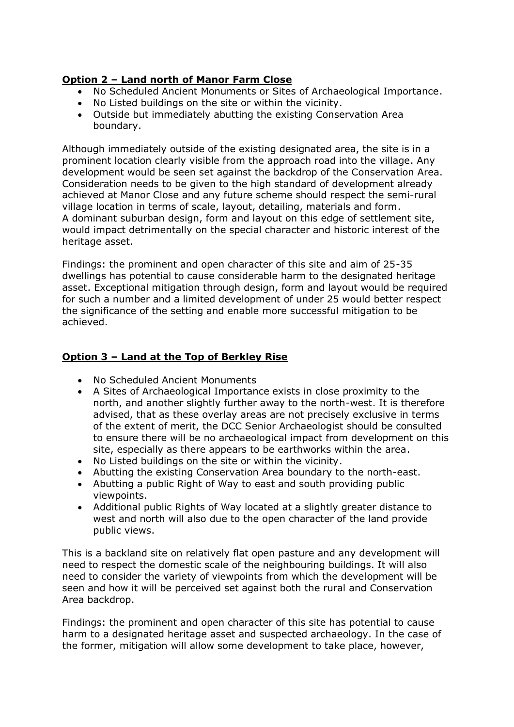# **Option 2 – Land north of Manor Farm Close**

- No Scheduled Ancient Monuments or Sites of Archaeological Importance.
- No Listed buildings on the site or within the vicinity.
- Outside but immediately abutting the existing Conservation Area boundary.

Although immediately outside of the existing designated area, the site is in a prominent location clearly visible from the approach road into the village. Any development would be seen set against the backdrop of the Conservation Area. Consideration needs to be given to the high standard of development already achieved at Manor Close and any future scheme should respect the semi-rural village location in terms of scale, layout, detailing, materials and form. A dominant suburban design, form and layout on this edge of settlement site, would impact detrimentally on the special character and historic interest of the heritage asset.

Findings: the prominent and open character of this site and aim of 25-35 dwellings has potential to cause considerable harm to the designated heritage asset. Exceptional mitigation through design, form and layout would be required for such a number and a limited development of under 25 would better respect the significance of the setting and enable more successful mitigation to be achieved.

## **Option 3 – Land at the Top of Berkley Rise**

- No Scheduled Ancient Monuments
- A Sites of Archaeological Importance exists in close proximity to the north, and another slightly further away to the north-west. It is therefore advised, that as these overlay areas are not precisely exclusive in terms of the extent of merit, the DCC Senior Archaeologist should be consulted to ensure there will be no archaeological impact from development on this site, especially as there appears to be earthworks within the area.
- No Listed buildings on the site or within the vicinity.
- Abutting the existing Conservation Area boundary to the north-east.
- Abutting a public Right of Way to east and south providing public viewpoints.
- Additional public Rights of Way located at a slightly greater distance to west and north will also due to the open character of the land provide public views.

This is a backland site on relatively flat open pasture and any development will need to respect the domestic scale of the neighbouring buildings. It will also need to consider the variety of viewpoints from which the development will be seen and how it will be perceived set against both the rural and Conservation Area backdrop.

Findings: the prominent and open character of this site has potential to cause harm to a designated heritage asset and suspected archaeology. In the case of the former, mitigation will allow some development to take place, however,